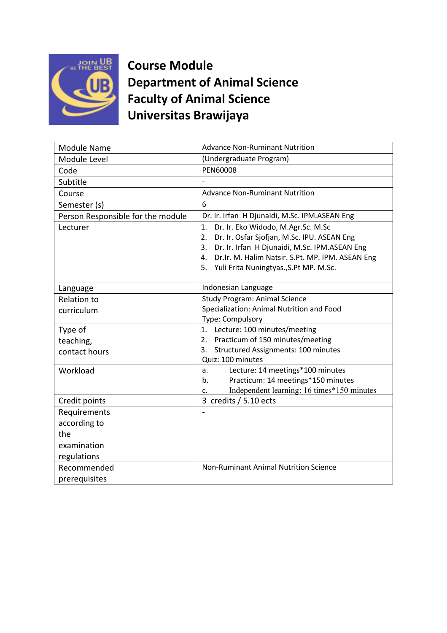

**Course Module Department of Animal Science Faculty of Animal Science Universitas Brawijaya**

| Module Name                       | <b>Advance Non-Ruminant Nutrition</b>                                                                                                                                                                                                                       |
|-----------------------------------|-------------------------------------------------------------------------------------------------------------------------------------------------------------------------------------------------------------------------------------------------------------|
| Module Level                      | (Undergraduate Program)                                                                                                                                                                                                                                     |
| Code                              | <b>PEN60008</b>                                                                                                                                                                                                                                             |
| Subtitle                          |                                                                                                                                                                                                                                                             |
| Course                            | <b>Advance Non-Ruminant Nutrition</b>                                                                                                                                                                                                                       |
| Semester (s)                      | 6                                                                                                                                                                                                                                                           |
| Person Responsible for the module | Dr. Ir. Irfan H Djunaidi, M.Sc. IPM.ASEAN Eng                                                                                                                                                                                                               |
| Lecturer                          | Dr. Ir. Eko Widodo, M.Agr.Sc. M.Sc<br>1.<br>Dr. Ir. Osfar Sjofjan, M.Sc. IPU. ASEAN Eng<br>2.<br>Dr. Ir. Irfan H Djunaidi, M.Sc. IPM.ASEAN Eng<br>3.<br>Dr.Ir. M. Halim Natsir. S.Pt. MP. IPM. ASEAN Eng<br>4.<br>5. Yuli Frita Nuningtyas., S.Pt MP. M.Sc. |
| Language                          | Indonesian Language                                                                                                                                                                                                                                         |
| <b>Relation to</b>                | <b>Study Program: Animal Science</b>                                                                                                                                                                                                                        |
| curriculum                        | Specialization: Animal Nutrition and Food                                                                                                                                                                                                                   |
|                                   | Type: Compulsory                                                                                                                                                                                                                                            |
| Type of                           | 1. Lecture: 100 minutes/meeting<br>Practicum of 150 minutes/meeting<br>2.                                                                                                                                                                                   |
| teaching,<br>contact hours        | Structured Assignments: 100 minutes<br>3.                                                                                                                                                                                                                   |
|                                   | Quiz: 100 minutes                                                                                                                                                                                                                                           |
| Workload                          | Lecture: 14 meetings*100 minutes<br>a.                                                                                                                                                                                                                      |
|                                   | Practicum: 14 meetings*150 minutes<br>b.                                                                                                                                                                                                                    |
|                                   | Independent learning: 16 times*150 minutes<br>c.                                                                                                                                                                                                            |
| Credit points                     | 3 credits / 5.10 ects                                                                                                                                                                                                                                       |
| Requirements                      |                                                                                                                                                                                                                                                             |
| according to                      |                                                                                                                                                                                                                                                             |
| the                               |                                                                                                                                                                                                                                                             |
| examination                       |                                                                                                                                                                                                                                                             |
| regulations                       |                                                                                                                                                                                                                                                             |
| Recommended                       | <b>Non-Ruminant Animal Nutrition Science</b>                                                                                                                                                                                                                |
| prerequisites                     |                                                                                                                                                                                                                                                             |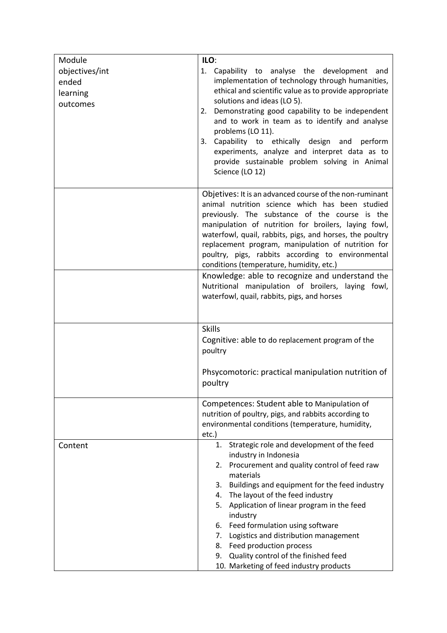| Module                                          | ILO:                                                                                                                                                                                                                                                                                                                                                                                                                                                                                                                                                                                            |
|-------------------------------------------------|-------------------------------------------------------------------------------------------------------------------------------------------------------------------------------------------------------------------------------------------------------------------------------------------------------------------------------------------------------------------------------------------------------------------------------------------------------------------------------------------------------------------------------------------------------------------------------------------------|
| objectives/int<br>ended<br>learning<br>outcomes | 1. Capability to analyse the development and<br>implementation of technology through humanities,<br>ethical and scientific value as to provide appropriate<br>solutions and ideas (LO 5).<br>Demonstrating good capability to be independent<br>2.<br>and to work in team as to identify and analyse<br>problems (LO 11).<br>Capability to ethically design and<br>3.<br>perform<br>experiments, analyze and interpret data as to<br>provide sustainable problem solving in Animal<br>Science (LO 12)                                                                                           |
|                                                 | Objetives: It is an advanced course of the non-ruminant<br>animal nutrition science which has been studied<br>previously. The substance of the course is the<br>manipulation of nutrition for broilers, laying fowl,<br>waterfowl, quail, rabbits, pigs, and horses, the poultry<br>replacement program, manipulation of nutrition for<br>poultry, pigs, rabbits according to environmental<br>conditions (temperature, humidity, etc.)<br>Knowledge: able to recognize and understand the<br>Nutritional manipulation of broilers, laying fowl,<br>waterfowl, quail, rabbits, pigs, and horses |
|                                                 | <b>Skills</b><br>Cognitive: able to do replacement program of the<br>poultry<br>Phsycomotoric: practical manipulation nutrition of<br>poultry                                                                                                                                                                                                                                                                                                                                                                                                                                                   |
|                                                 | Competences: Student able to Manipulation of<br>nutrition of poultry, pigs, and rabbits according to<br>environmental conditions (temperature, humidity,<br>etc.)                                                                                                                                                                                                                                                                                                                                                                                                                               |
| Content                                         | Strategic role and development of the feed<br>1.<br>industry in Indonesia<br>2. Procurement and quality control of feed raw<br>materials<br>3. Buildings and equipment for the feed industry<br>4. The layout of the feed industry<br>5. Application of linear program in the feed<br>industry<br>6. Feed formulation using software<br>7. Logistics and distribution management<br>8. Feed production process<br>Quality control of the finished feed<br>9.<br>10. Marketing of feed industry products                                                                                         |